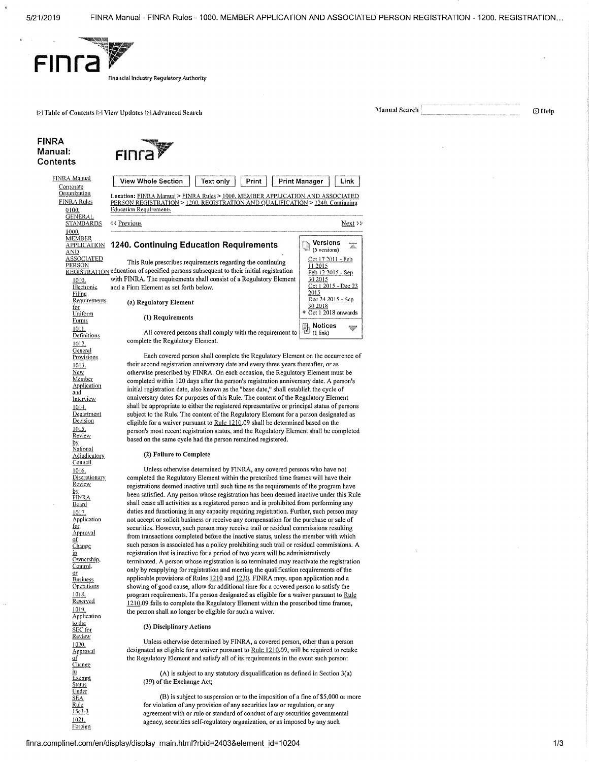

**ID** Table of Contents **ID** View Updates **ID Advanced Search** Manual Search Manual Search

### FINRA Manual: **Contents**



Corporate<br>Organization FINRA Rules 0100. **GENERAL STANDARDS** 1000. **MEMBER** AND ASSOCIATED

PERSON 1010. Electronic Filing **Requirements** for Uniform Forms 1011.<br>Definitions 1012. **General** Provisions 1013. New Member Application and **Interview** 1014. **Department** Decision 1015. Review by. **National** Adjudicatory **Council** 1016. Discretionary Review <u>by</u><br>EINRA Board 1017. **Application** Ibr **Approval** gi **Change** in<br>Ownership, Control. <u>or</u><br>Business **Operations** 1018. Reserved 1019. **Application** to the SEC for Review 1020. \_Approval of **Change** Exempt Status Under SEA Rule 15c3-3 1021. **Foreign** 

in

FINRA Manual

| .A Manual<br>morate                      | <b>View Whole Section</b><br>Text only<br>Print                                                                                                                                                  | <b>Print Manager</b><br>Link                            |
|------------------------------------------|--------------------------------------------------------------------------------------------------------------------------------------------------------------------------------------------------|---------------------------------------------------------|
| g <u>anization</u><br>NRA Rules<br>0100. | Location: FINRA Manual > FINRA Rules > 1000, MEMBER APPLICATION AND ASSOCIATED<br>PERSON REGISTRATION > 1200. REGISTRATION AND QUALIFICATION > 1240. Continuing<br><b>Education Requirements</b> |                                                         |
| GENERAL<br>STANDARDS                     | ४२ Previous                                                                                                                                                                                      | Next >:                                                 |
| 1000.                                    |                                                                                                                                                                                                  |                                                         |
| MEMBER<br>APPLICATION<br>AND             | 1240. Continuing Education Requirements                                                                                                                                                          | Versions<br>dentistant<br>ildir.<br>(5 versions)        |
| ASSOCIATED<br>PERSON                     | This Rule prescribes requirements regarding the continuing<br>REGISTRATION education of specified persons subsequent to their initial registration                                               | Oct 17 2011 - Feb<br>11 2015<br>Feb 12 2015 - Sep       |
| 1010.                                    | with FINRA. The requirements shall consist of a Regulatory Element                                                                                                                               | 30 2015                                                 |
| Electronic<br>Filing                     | and a Firm Element as set forth below.                                                                                                                                                           | Oct 1 2015 - Dec 23<br>2015                             |
| <u>Requirements</u><br><u>tor</u>        | (a) Regulatory Element                                                                                                                                                                           | Dec 24 2015 - Sep<br>30 2018                            |
| Uniform<br>Forms                         | (1) Requirements                                                                                                                                                                                 | * Oct 1 2018 onwards                                    |
| 1011.<br>Definitions                     | All covered persons shall comply with the requirement to                                                                                                                                         | <b>Notices</b><br>5<br><b>BOOTHING</b><br>$(1$ link $)$ |

complete the Regulatory Element.

Each covered person shall complete the Regulatory Element on the occurrence of their second registration anniversary date and every three years thereafter, or as otherwise prescribed by FINRA. On each occasion, the Regulatory Element must be completed within 120 days after the person's registration anniversary date. A person's initial registration date, also known as the "base date," shall establish the cycle of anniversary dates for purposes of this Rule. The content of the Regulatory Element shall be appropriate to either the registered representative or principal status of persons subject to the Rule. The content of the Regulatory Element for a person designated as eligible for a waiver pursuant to Rule 1210.09 shall be determined based on the person's most recent registration status, and the Regulatory Element shall be completed based on the same cycle had the person remained registered.

#### (2) Failure to Complete

Unless otherwise determined by FINRA, any covered persons who have not completed the Regulatory Element within the prescribed time frames will have their registrations deemed inactive until such time as the requirements of the program have been satisfied. Any person whose registration has been deemed inactive under this Rule shall cease all activities as a registered person and is prohibited from performing any duties and functioning in any capacity requiring registration. Further, such person may not accept or solicit business or receive any compensation for the purchase or sale of securities. However, such person may receive trail or residual commissions resulting from transactions completed before the inactive status, unless the member with which such person is associated has a policy prohibiting such trail or residual commissions. A registration that is inactive for a period of two years will be administratively terminated. A person whose registration is so terminated may reactivate the registration only by reapplying for registration and meeting the qualification requirements of the applicable provisions of Rules 1210 and 1220. FINRA may, upon application and a showing of good cause, allow for additional time for a covered person to satisfy the program requirements. If a person designated as eligible for a waiver pursuant to Rule 1210.09 fails to complete the Regulatory Element within the prescribed time frames, the person shall no longer be eligible for such a waiver.

#### (3) Disciplinary Actions

Unless otherwise determined by FINRA, a covered person, other than a person designated as eligible for a waiver pursuant to Rule 1210.09, will be required to retake the Regulatory Element and satisfy all of its requirements in the event such person:

(A) is subject to any statutory disqualification as defined in Section 3(a) (39) of the Exchange Act;

(B) is subject to suspension or to the imposition of a fine of \$5,000 or more for violation of any provision of any securities law or regulation, or any agreement with or rule or standard of conduct of any securities governmental agency, securities self-regulatory organization, or as imposed by any such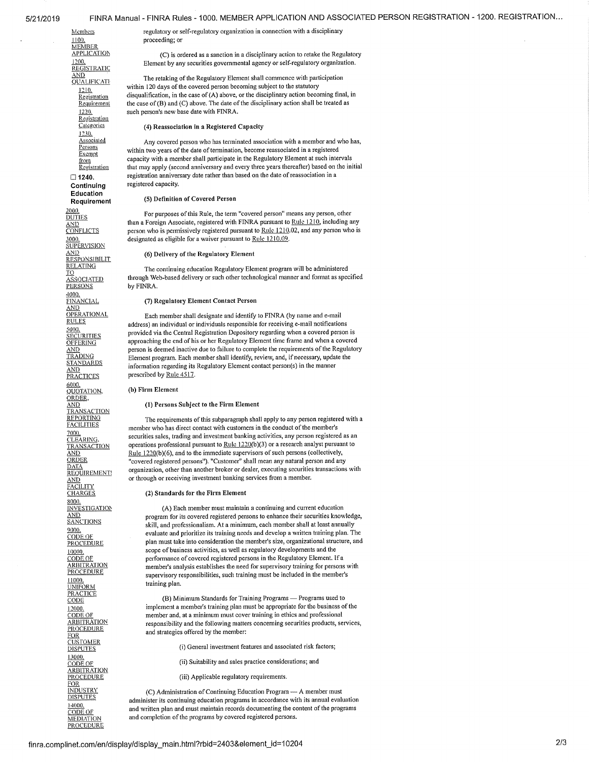1100.<br>MEMBER<br>APPLICATION 1200. **REGISTRATIC** AND<br>QUALIFICATI **Registration** 1230. Associated Persons Exempt from **Registration** 

 $\Box$  1240. Continuing Education Requirement

2000.<br>DUTIES **SUPERVISION RESPONSIBILIT RELATING** O ASSOCIATED<br>PERSONS 4000. FINANCIAL AND **OPERATIONAL** RULES <u>5000.</u><br><u>SECURITIES</u> **OFFERING** <u>AND</u><br>TRADING STANDARDS AND **PRACTICES** 6000.<br>QUOTATION, ORDER TRANSACTION<br>REPORTING<br>FACILITIES 7000. CLEARING. **TRANSACTION** AND **ORDER** <u>DATA</u><br>REQUIREMENT! <u>AND</u><br>FACILITY **CHARGES** 8000. **INVESTIGATION** <u>AND</u><br>SANCTIONS 9000. CODE OF **PROCEDURE** 10000. <u>CODE OF</u><br>ARBITRATION<br><u>PROCEDURE</u> <u>11000.</u><br>UNIFORM <u>PRACTICE</u><br>CODE 12000. CODE OF **ARBITRATION PROCEDURE** <u>FOR</u><br>CUSTOMER<br>DISPUTES 13000.<br>CODE OF **ARBITRATION PROCEDURE** FOR INDUSTRY **DISPUTES** 14000.

CODE OF **MEDIATION** PROCEDURE

Members regulatory or self-regulatory organization in connection with a disciplinary proceeding; or

> (C) is ordered as a sanction in a disciplinary action to retake the Regulatory Element by any securities governmental agency or self-regulatory organization.

The retaking of the Regulatory Element shall commence with participation within 120 days of the covered person becoming subject to the statutory disqualification, in the case of (A) above, or the disciplinary action becom within 120 days of the covered person becoming subject to the statutory  $\frac{R_{21}N_{1}}{Registration}$  disqualification, in the case of (A) above, or the disciplinary action becoming final, in Requirement the case of (B) and (C) above. The date of the disciplinary action shall be treated as Requirement the case of (B) and (C) above. The date of the disciplinary action shall be treated as  $\frac{1220}{2}$ . such person's new base date with FINRA.

#### Categories (4) Reassociation in a Registered Capacity

Any covered person who has terminated association with a member and who has, within two years of the date of termination, become reassociated in a registered capacity with a member shall participate in the Regulatory Element at such intervals that may apply (second anniversary and every three years thereafter) based on the initial registration anniversary date rather than based on the date of reassociation in a registered capacity.

#### (5) Definition of Covered Person

For purposes of this Rule, the term "covered person" means any person, other  $\frac{A\Delta\Pi}{A\Delta\Pi}$  than a Foreign Associate, registered with FINRA pursuant to <u>Rule 1210</u>, including any<br> **CONFLICTS** person who is permissively registered pursuant to <u>Rule 1210</u>.02, and any person who is person who is permissively registered pursuant to Rule 1210.02, and any person who is 3000. designated as eligible for a waiver pursuant to Rule 1210.09,

 $\frac{\text{AND}}{\text{D}}$  (6) Delivery of the Regulatory Element

The continuing education Regulatory Element program will be administered through Web-based delivery or such other technological manner and format as specified by FINRA.

(7) Regulatory Element Contact Person

Each member shall designate and identify to FINRA (by name and e-mail address) an individual or individuals responsible for receiving e-mail notifications provided via the Central Registration Depository regarding when a covered person is approaching the end of his or her Regulatory Element time frame and when a covered person is deemed inactive due to failure to complete the requirements of the Regulatory Element program. Each member shall identify, review, and, if necessary, update the information regarding its Regulatory Element contact person(s) in the manner prescribed by Rule 4517.

#### (h) Firnt Element

# $\frac{\overline{AND}}{\text{TRANSACTION}}$  (1) Persons Subject to the Firm Element

The requirements of this subparagraph shall apply to any person registered with a member who has direct contact with customers in the conduct of the member's securities sales, trading and investment banking activities, any person registered as an operations professional pursuant to Rule 1220(b)(3) or a research analyst pursuant to Rule 1220(b)(6), and to the immediate supervisors of such persons (collectively, "covered registered persons"). "Customer" shall mean any natural person and any organization, other than another broker or dealer, executing securities transactions with or through or receiving investment banking services from a member,

#### (2) Standards for the Firm Element

(A) Each member must maintain a continuing and current education program for its covered registered persons to enhance their securities knowledge, skill, and professionalism. At a minimum, each member shall at least annually evaluate and prioritize its training needs and develop a written training plan. The plan must take into consideration the member's size, organizational structure, and scope of business activities, as well as regulatory developments and the performance of covered registered persons in the Regulatory Element. If a member's analysis establishes the need for supervisory training for persons with supervisory responsibilities, such training must be included in the member's training plan.

(B) Minimum Standards for Training Programs — Programs used to implement a member's training plan must be appropriate for the business of the member and, at a minimum must cover training in ethics and professional responsibility and the following matters concerning securities products, services, and strategies offered by the member:

(i) General investment features and associated risk factors;

- (ii) Suitability and sales practice considerations; and
- (iii) Applicable regulatory requirements.

(C) Administration of Continuing Education Program — A member must administer its continuing education programs in accordance with its annual evaluation and written plan and must maintain records documenting the content of the programs and completion of the programs by covered registered persons.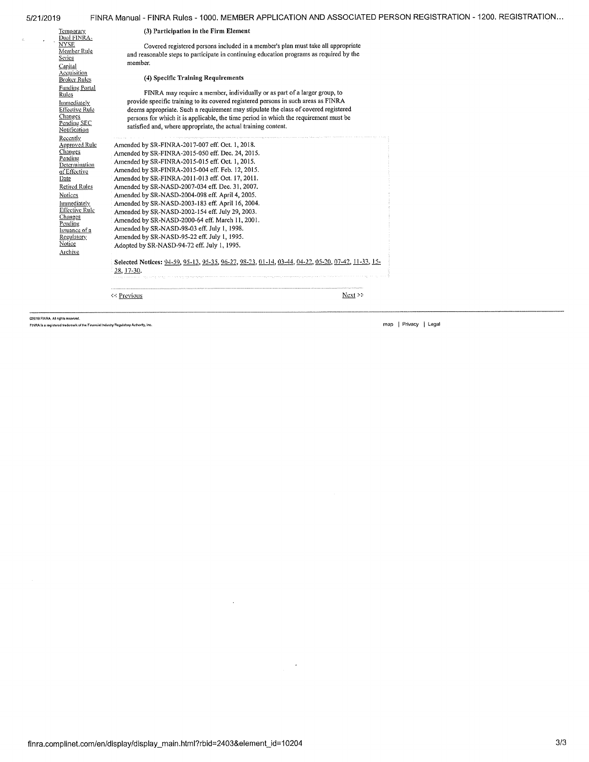| 5/21/2019                                                                                                                                                                                                                                                   | FINRA Manual - FINRA Rules - 1000. MEMBER APPLICATION AND ASSOCIATED PERSON REGISTRATION - 1200. REGISTRATION                                                                                                                                                                                                                                                                                                                                                                                                                                                                                                                                                                                                                                                                                   |          |
|-------------------------------------------------------------------------------------------------------------------------------------------------------------------------------------------------------------------------------------------------------------|-------------------------------------------------------------------------------------------------------------------------------------------------------------------------------------------------------------------------------------------------------------------------------------------------------------------------------------------------------------------------------------------------------------------------------------------------------------------------------------------------------------------------------------------------------------------------------------------------------------------------------------------------------------------------------------------------------------------------------------------------------------------------------------------------|----------|
| <b>Temporary</b><br>Dual FINRA-                                                                                                                                                                                                                             | (3) Participation in the Firm Element                                                                                                                                                                                                                                                                                                                                                                                                                                                                                                                                                                                                                                                                                                                                                           |          |
| <b>NYSE</b><br>Member Rule<br>Series                                                                                                                                                                                                                        | Covered registered persons included in a member's plan must take all appropriate<br>and reasonable steps to participate in continuing education programs as required by the<br>member.                                                                                                                                                                                                                                                                                                                                                                                                                                                                                                                                                                                                          |          |
| Capital<br><b>Acquisition</b><br><b>Broker Rules</b>                                                                                                                                                                                                        | (4) Specific Training Requirements                                                                                                                                                                                                                                                                                                                                                                                                                                                                                                                                                                                                                                                                                                                                                              |          |
| <b>Funding Portal</b><br>Rules<br>Immediately<br>Effective Rule<br>Changes<br>Pending SEC<br>Notification                                                                                                                                                   | FINRA may require a member, individually or as part of a larger group, to<br>provide specific training to its covered registered persons in such areas as FINRA<br>deems appropriate. Such a requirement may stipulate the class of covered registered<br>persons for which it is applicable, the time period in which the requirement must be<br>satisfied and, where appropriate, the actual training content.                                                                                                                                                                                                                                                                                                                                                                                |          |
| Recently<br><b>Approved Rule</b><br><b>Changes</b><br>Pending<br>Determination<br>of Effective<br>Date<br>Retired Rules<br>Notices<br>Immediately<br><b>Effective Rule</b><br>Changes<br>Pending<br>Issuance of a<br><b>Regulatory</b><br>Notice<br>Archive | Amended by SR-FINRA-2017-007 eff. Oct. 1, 2018.<br>Amended by SR-FINRA-2015-050 eff. Dec. 24, 2015.<br>Amended by SR-FINRA-2015-015 eff. Oct. 1, 2015.<br>Amended by SR-FINRA-2015-004 eff. Feb. 12, 2015.<br>Amended by SR-FINRA-2011-013 eff. Oct. 17, 2011.<br>Amended by SR-NASD-2007-034 eff. Dec. 31, 2007.<br>Amended by SR-NASD-2004-098 eff. April 4, 2005.<br>Amended by SR-NASD-2003-183 eff. April 16, 2004.<br>Amended by SR-NASD-2002-154 eff. July 29, 2003.<br>Amended by SR-NASD-2000-64 eff. March 11, 2001.<br>Amended by SR-NASD-98-03 eff. July 1, 1998.<br>Amended by SR-NASD-95-22 eff. July 1, 1995.<br>Adopted by SR-NASD-94-72 eff. July 1, 1995.<br>Selected Notices: 94-59, 95-13, 95-35, 96-27, 98-23, 01-14, 03-44, 04-22, 05-20, 07-42, 11-33, 15-<br>28, 17-30. |          |
|                                                                                                                                                                                                                                                             | <b>SS Previous</b>                                                                                                                                                                                                                                                                                                                                                                                                                                                                                                                                                                                                                                                                                                                                                                              | Next > 5 |

e2019 FINRA All rights reserved.<br>FINRA is a registered trademark of the Financial Industry Regulatory Authority, Inc.

 $\bar{c}$ 

 $\mathcal{L}^{\pm}$ 

 $\mathcal{A}^{\mathcal{A}}$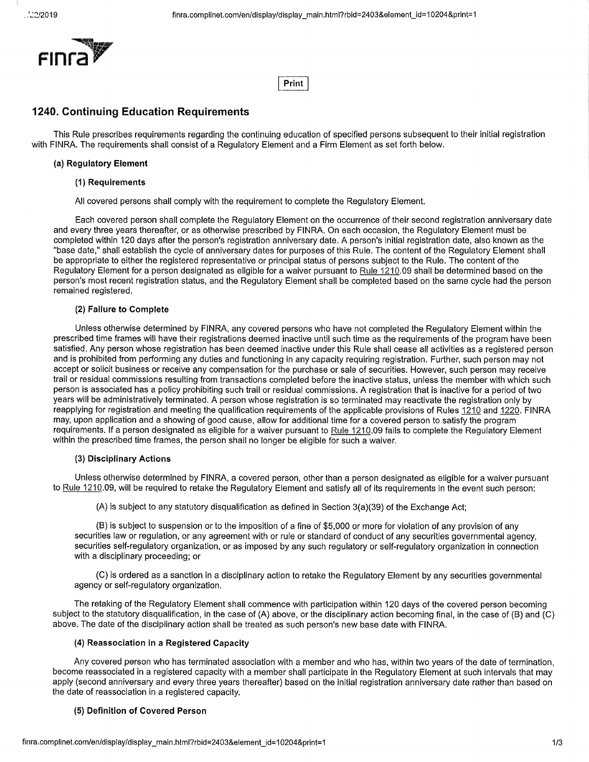

# **Print]**

# **1240. Continuing Education Requirements**

This Rule prescribes requirements regarding the continuing education of specified persons subsequent to their initial registration with FINRA. The requirements shall consist of a Regulatory Element and a Firm Element as set forth below.

## **(a) Regulatory Element**

### **(1) Requirements**

All covered persons shall comply with the requirement to complete the Regulatory Element.

Each covered person shall complete the Regulatory Element on the occurrence of their second registration anniversary date and every three years thereafter, or as otherwise prescribed by FINRA. On each occasion, the Regulatory Element must be completed within 120 days after the person's registration anniversary date. A person's initial registration date, also known as the "base date," shall establish the cycle of anniversary dates for purposes of this Rule. The content of the Regulatory Element shall be appropriate to either the registered representative or principal status of persons subject to the Rule. The content of the Regulatory Element for a person designated as eligible for a waiver pursuant to Rule 1210.09 shall be determined based on the person's most recent registration status, and the Regulatory Element shall be completed based on the same cycle had the person remained registered.

# **(2) Failure to Complete**

Unless otherwise determined by FINRA, any covered persons who have not completed the Regulatory Element within the prescribed time frames will have their registrations deemed inactive until such time as the requirements of the program have been satisfied. Any person whose registration has been deemed inactive under this Rule shall cease all activities as a registered person and is prohibited from performing any duties and functioning in any capacity requiring registration. Further, such person may not accept or solicit business or receive any compensation for the purchase or sale of securities. However, such person may receive trail or residual commissions resulting from transactions completed before the inactive status, unless the member with which such person is associated has a policy prohibiting such trail or residual commissions. A registration that is inactive for a period of two years will be administratively terminated. A person whose registration is so terminated may reactivate the registration only by reapplying for registration and meeting the qualification requirements of the applicable provisions of Rules 1210 and 1220. FINRA may, upon application and a showing of good cause, allow for additional time for a covered person to satisfy the program requirements. If a person designated as eligible for a waiver pursuant to Rule 1210.09 fails to complete the Regulatory Element within the prescribed time frames, the person shall no longer be eligible for such a waiver.

# **(3) Disciplinary Actions**

Unless otherwise determined by FINRA, a covered person, other than a person designated as eligible for a waiver pursuant to Rule 1210.09, will be required to retake the Regulatory Element and satisfy all of its requirements in the event such person:

 $(A)$  is subject to any statutory disqualification as defined in Section 3(a)(39) of the Exchange Act;

(B)is subject to suspension or to the imposition of a fine of \$5,000 or more for violation of any provision of any securities law or regulation, or any agreement with or rule or standard of conduct of any securities governmental agency, securities self-regulatory organization, or as imposed by any such regulatory or self-regulatory organization in connection with a disciplinary proceeding; or

(C)is ordered as a sanction in a disciplinary action to retake the Regulatory Element by any securities governmental agency or self-regulatory organization.

The retaking of the Regulatory Element shall commence with participation within 120 days of the covered person becoming subject to the statutory disqualification, in the case of (A) above, or the disciplinary action becoming final, in the case of (B) and (C) above. The date of the disciplinary action shall be treated as such person's new base date with FINRA.

# **(4) Reassociation in a Registered Capacity**

Any covered person who has terminated association with a member and who has, within two years of the date of termination, become reassociated in a registered capacity with a member shall participate in the Regulatory Element at such intervals that may apply (second anniversary and every three years thereafter) based on the initial registration anniversary date rather than based on the date of reassociation in a registered capacity.

# **(5) Definition of Covered Person**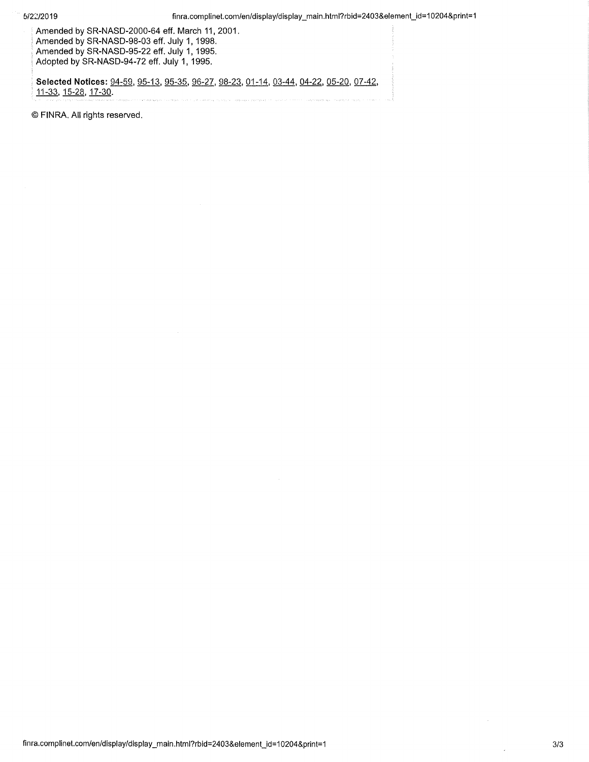Amended by SR-NASD-2000-64 eff. March 11, 2001. Amended by SR-NASD-98-03 eff. July 1, 1998. Amended by SR-NASD-95-22 eff. July 1, 1995. Adopted by SR-NASD-94-72 eff. July 1, 1995.

Selected Notices: 94-59, 95-13, 95-35, 96-27, 98-23, 01-14, 03-44, 04-22, 05-20, 07-42, 11-33, 15-28, 17-30.

FINRA. All rights reserved.